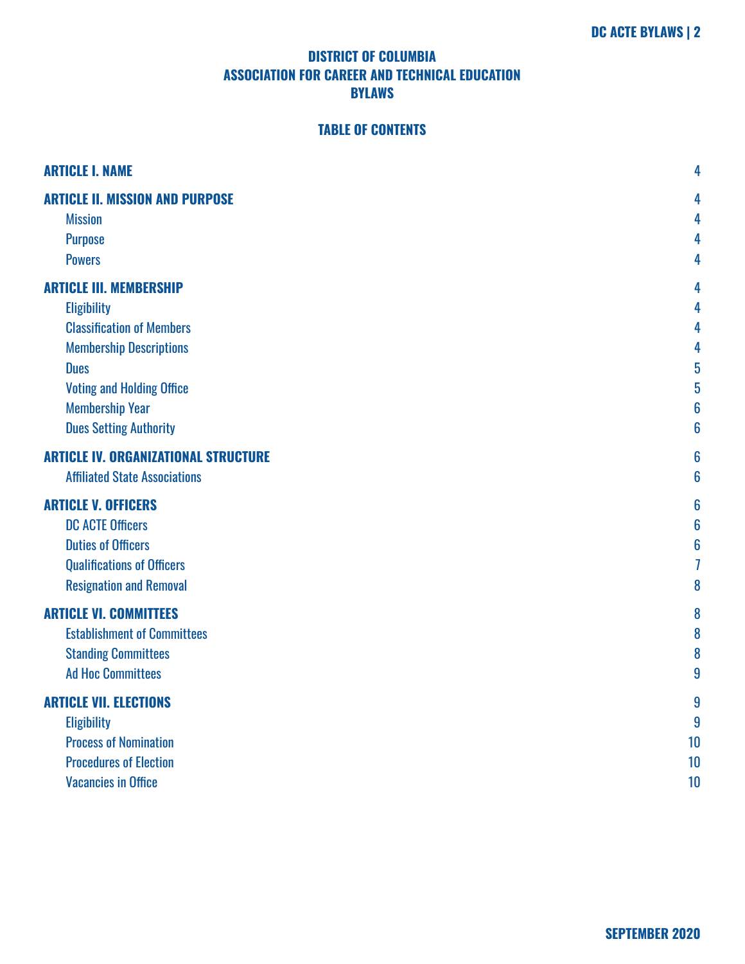# **TABLE OF CONTENTS**

| <b>ARTICLE I. NAME</b>                      | 4                |
|---------------------------------------------|------------------|
| <b>ARTICLE II. MISSION AND PURPOSE</b>      | 4                |
| <b>Mission</b>                              | 4                |
| <b>Purpose</b>                              | 4                |
| <b>Powers</b>                               | 4                |
| <b>ARTICLE III. MEMBERSHIP</b>              | 4                |
| <b>Eligibility</b>                          | 4                |
| <b>Classification of Members</b>            | 4                |
| <b>Membership Descriptions</b>              | 4                |
| <b>Dues</b>                                 | 5                |
| <b>Voting and Holding Office</b>            | 5                |
| <b>Membership Year</b>                      | 6                |
| <b>Dues Setting Authority</b>               | 6                |
| <b>ARTICLE IV. ORGANIZATIONAL STRUCTURE</b> | 6                |
| <b>Affiliated State Associations</b>        | 6                |
| <b>ARTICLE V. OFFICERS</b>                  | 6                |
| <b>DC ACTE Officers</b>                     | 6                |
| <b>Duties of Officers</b>                   | 6                |
| <b>Qualifications of Officers</b>           | 7                |
| <b>Resignation and Removal</b>              | 8                |
| <b>ARTICLE VI. COMMITTEES</b>               | 8                |
| <b>Establishment of Committees</b>          | 8                |
| <b>Standing Committees</b>                  | 8                |
| <b>Ad Hoc Committees</b>                    | 9                |
| <b>ARTICLE VII. ELECTIONS</b>               | 9                |
| <b>Eligibility</b>                          | $\boldsymbol{9}$ |
| <b>Process of Nomination</b>                | 10               |
| <b>Procedures of Election</b>               | 10               |
| <b>Vacancies in Office</b>                  | 10               |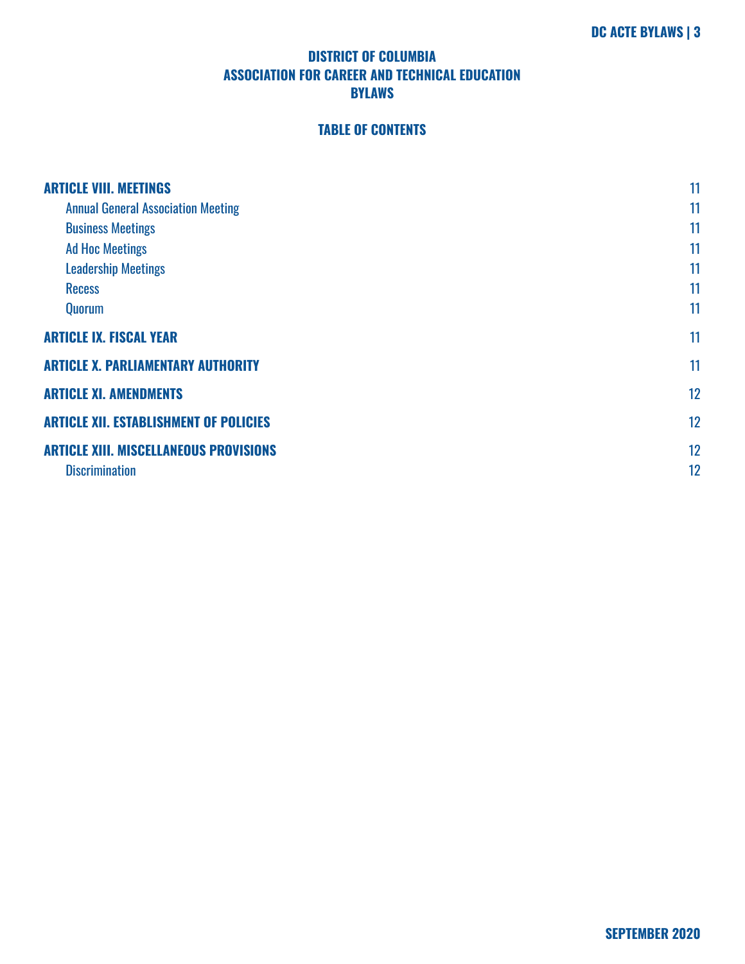# **TABLE OF CONTENTS**

| <b>ARTICLE VIII. MEETINGS</b>                 | 11 |
|-----------------------------------------------|----|
| <b>Annual General Association Meeting</b>     | 11 |
| <b>Business Meetings</b>                      | 11 |
| <b>Ad Hoc Meetings</b>                        | 11 |
| <b>Leadership Meetings</b>                    | 11 |
| <b>Recess</b>                                 | 11 |
| Quorum                                        | 11 |
| <b>ARTICLE IX. FISCAL YEAR</b>                | 11 |
| <b>ARTICLE X. PARLIAMENTARY AUTHORITY</b>     | 11 |
| <b>ARTICLE XI. AMENDMENTS</b>                 | 12 |
| <b>ARTICLE XII. ESTABLISHMENT OF POLICIES</b> | 12 |
| <b>ARTICLE XIII. MISCELLANEOUS PROVISIONS</b> | 12 |
| <b>Discrimination</b>                         | 12 |
|                                               |    |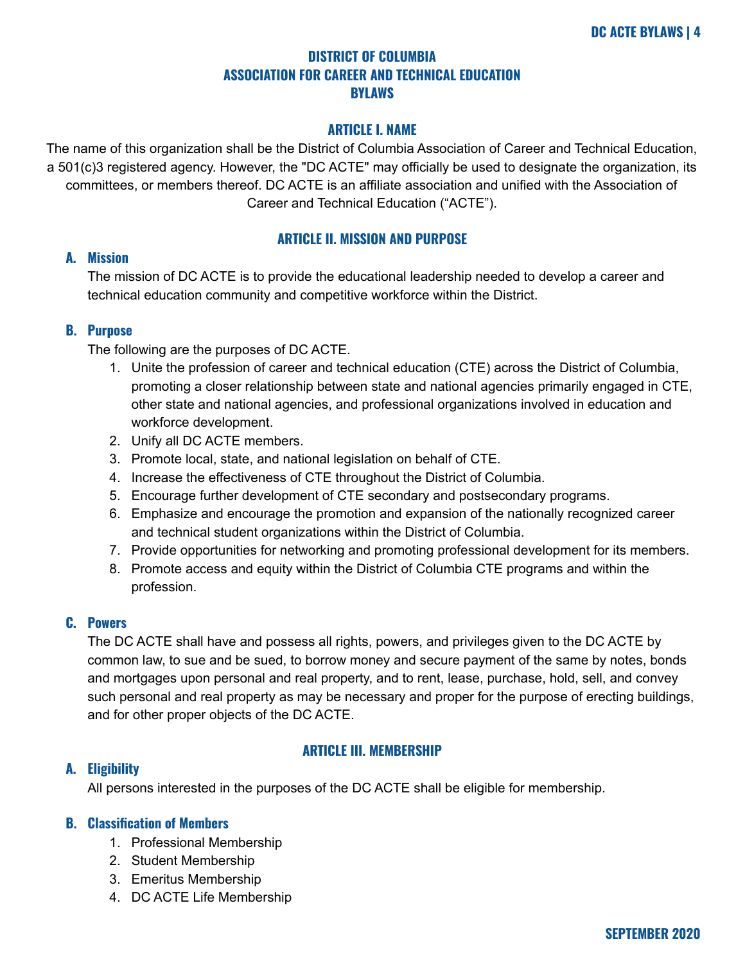## **ARTICLE I. NAME**

<span id="page-3-0"></span>The name of this organization shall be the District of Columbia Association of Career and Technical Education, a 501(c)3 registered agency. However, the "DC ACTE" may officially be used to designate the organization, its committees, or members thereof. DC ACTE is an affiliate association and unified with the Association of Career and Technical Education ("ACTE").

## **ARTICLE II. MISSION AND PURPOSE**

## <span id="page-3-2"></span><span id="page-3-1"></span>**A. Mission**

The mission of DC ACTE is to provide the educational leadership needed to develop a career and technical education community and competitive workforce within the District.

## <span id="page-3-3"></span>**B. Purpose**

The following are the purposes of DC ACTE.

- 1. Unite the profession of career and technical education (CTE) across the District of Columbia, promoting a closer relationship between state and national agencies primarily engaged in CTE, other state and national agencies, and professional organizations involved in education and workforce development.
- 2. Unify all DC ACTE members.
- 3. Promote local, state, and national legislation on behalf of CTE.
- 4. Increase the effectiveness of CTE throughout the District of Columbia.
- 5. Encourage further development of CTE secondary and postsecondary programs.
- 6. Emphasize and encourage the promotion and expansion of the nationally recognized career and technical student organizations within the District of Columbia.
- 7. Provide opportunities for networking and promoting professional development for its members.
- 8. Promote access and equity within the District of Columbia CTE programs and within the profession.

## <span id="page-3-4"></span>**C. Powers**

The DC ACTE shall have and possess all rights, powers, and privileges given to the DC ACTE by common law, to sue and be sued, to borrow money and secure payment of the same by notes, bonds and mortgages upon personal and real property, and to rent, lease, purchase, hold, sell, and convey such personal and real property as may be necessary and proper for the purpose of erecting buildings, and for other proper objects of the DC ACTE.

## **ARTICLE III. MEMBERSHIP**

## <span id="page-3-6"></span><span id="page-3-5"></span>**A. Eligibility**

All persons interested in the purposes of the DC ACTE shall be eligible for membership.

## <span id="page-3-7"></span>**B. Classification of Members**

- 1. Professional Membership
- 2. Student Membership
- 3. Emeritus Membership
- 4. DC ACTE Life Membership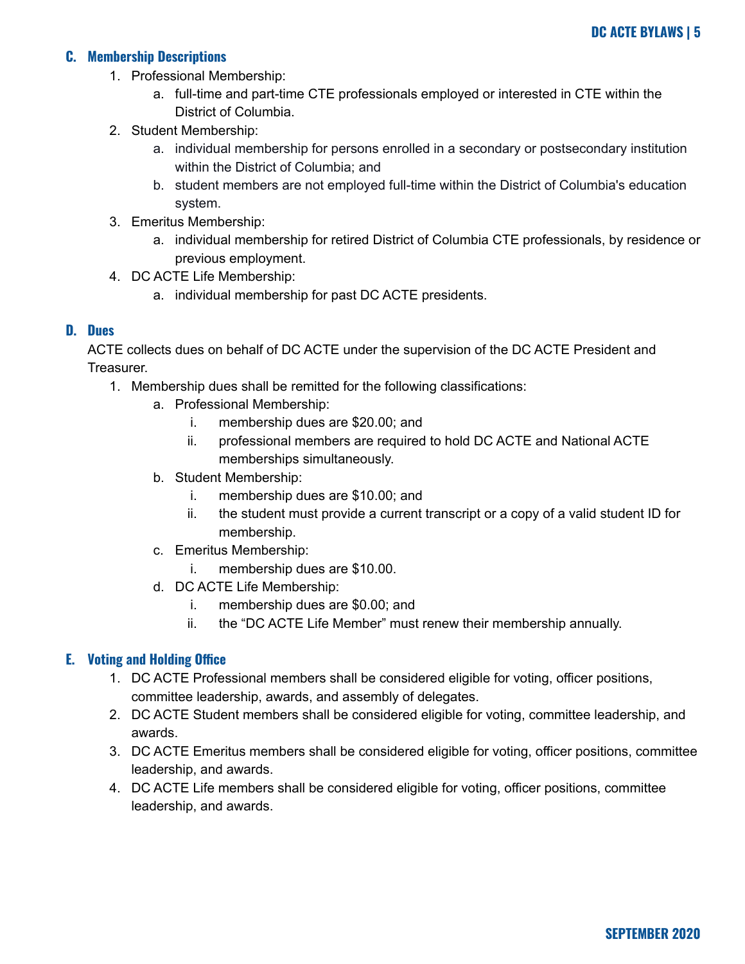## <span id="page-4-0"></span>**C. Membership Descriptions**

- 1. Professional Membership:
	- a. full-time and part-time CTE professionals employed or interested in CTE within the District of Columbia.
- 2. Student Membership:
	- a. individual membership for persons enrolled in a secondary or postsecondary institution within the District of Columbia; and
	- b. student members are not employed full-time within the District of Columbia's education system.
- 3. Emeritus Membership:
	- a. individual membership for retired District of Columbia CTE professionals, by residence or previous employment.
- 4. DC ACTE Life Membership:
	- a. individual membership for past DC ACTE presidents.

#### <span id="page-4-1"></span>**D. Dues**

ACTE collects dues on behalf of DC ACTE under the supervision of the DC ACTE President and Treasurer.

- 1. Membership dues shall be remitted for the following classifications:
	- a. Professional Membership:
		- i. membership dues are \$20.00; and
		- ii. professional members are required to hold DC ACTE and National ACTE memberships simultaneously.
	- b. Student Membership:
		- i. membership dues are \$10.00; and
		- ii. the student must provide a current transcript or a copy of a valid student ID for membership.
	- c. Emeritus Membership:
		- i. membership dues are \$10.00.
	- d. DC ACTE Life Membership:
		- i. membership dues are \$0.00; and
		- ii. the "DC ACTE Life Member" must renew their membership annually.

## <span id="page-4-2"></span>**E. Voting and Holding Office**

- 1. DC ACTE Professional members shall be considered eligible for voting, officer positions, committee leadership, awards, and assembly of delegates.
- 2. DC ACTE Student members shall be considered eligible for voting, committee leadership, and awards.
- 3. DC ACTE Emeritus members shall be considered eligible for voting, officer positions, committee leadership, and awards.
- 4. DC ACTE Life members shall be considered eligible for voting, officer positions, committee leadership, and awards.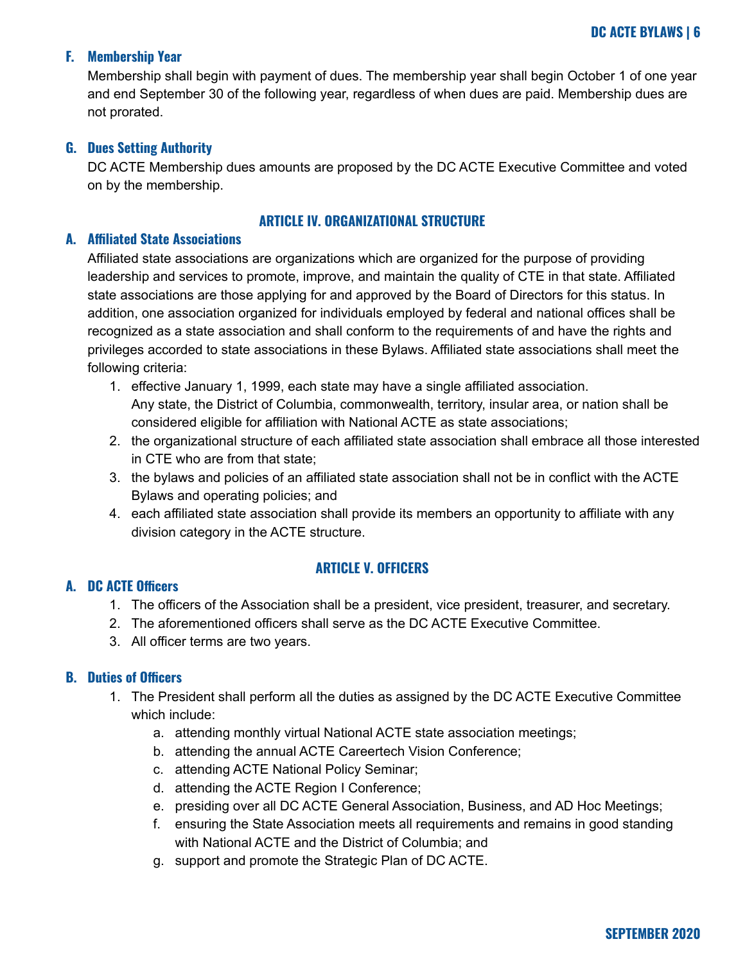## <span id="page-5-0"></span>**F. Membership Year**

Membership shall begin with payment of dues. The membership year shall begin October 1 of one year and end September 30 of the following year, regardless of when dues are paid. Membership dues are not prorated.

#### <span id="page-5-1"></span>**G. Dues Setting Authority**

DC ACTE Membership dues amounts are proposed by the DC ACTE Executive Committee and voted on by the membership.

#### **ARTICLE IV. ORGANIZATIONAL STRUCTURE**

#### <span id="page-5-3"></span><span id="page-5-2"></span>**A. Affiliated State Associations**

Affiliated state associations are organizations which are organized for the purpose of providing leadership and services to promote, improve, and maintain the quality of CTE in that state. Affiliated state associations are those applying for and approved by the Board of Directors for this status. In addition, one association organized for individuals employed by federal and national offices shall be recognized as a state association and shall conform to the requirements of and have the rights and privileges accorded to state associations in these Bylaws. Affiliated state associations shall meet the following criteria:

- 1. effective January 1, 1999, each state may have a single affiliated association. Any state, the District of Columbia, commonwealth, territory, insular area, or nation shall be considered eligible for affiliation with National ACTE as state associations;
- 2. the organizational structure of each affiliated state association shall embrace all those interested in CTE who are from that state;
- 3. the bylaws and policies of an affiliated state association shall not be in conflict with the ACTE Bylaws and operating policies; and
- 4. each affiliated state association shall provide its members an opportunity to affiliate with any division category in the ACTE structure.

## **ARTICLE V. OFFICERS**

## <span id="page-5-5"></span><span id="page-5-4"></span>**A. DC ACTE Officers**

- 1. The officers of the Association shall be a president, vice president, treasurer, and secretary.
- 2. The aforementioned officers shall serve as the DC ACTE Executive Committee.
- 3. All officer terms are two years.

## <span id="page-5-6"></span>**B. Duties of Officers**

- 1. The President shall perform all the duties as assigned by the DC ACTE Executive Committee which include:
	- a. attending monthly virtual National ACTE state association meetings;
	- b. attending the annual ACTE Careertech Vision Conference;
	- c. attending ACTE National Policy Seminar;
	- d. attending the ACTE Region I Conference;
	- e. presiding over all DC ACTE General Association, Business, and AD Hoc Meetings;
	- f. ensuring the State Association meets all requirements and remains in good standing with National ACTE and the District of Columbia; and
	- g. support and promote the Strategic Plan of DC ACTE.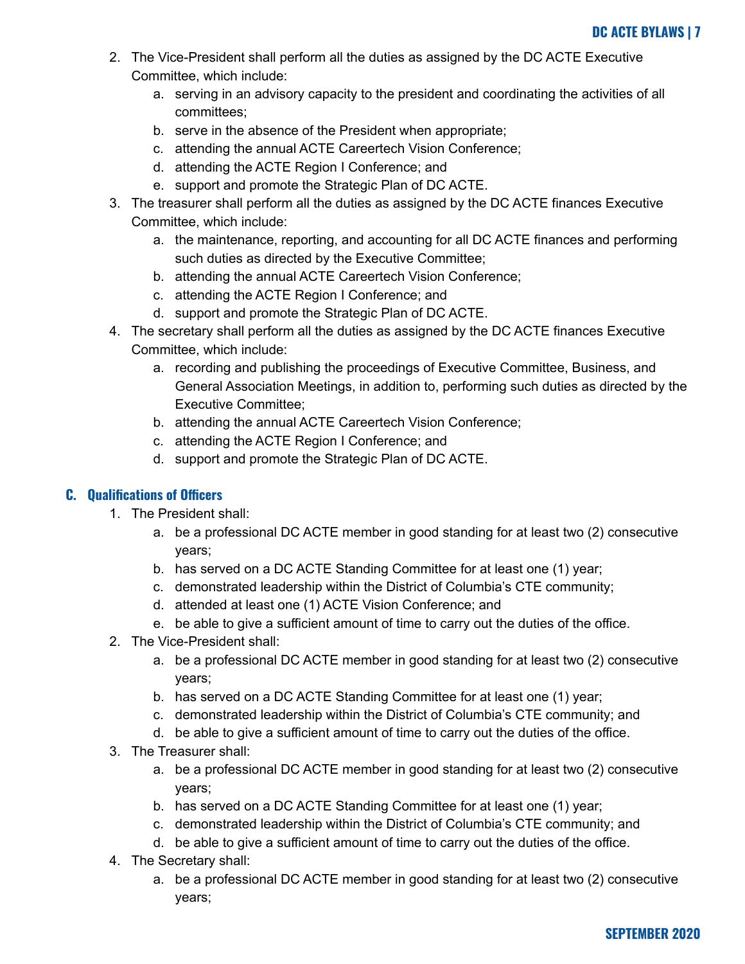- 2. The Vice-President shall perform all the duties as assigned by the DC ACTE Executive Committee, which include:
	- a. serving in an advisory capacity to the president and coordinating the activities of all committees;
	- b. serve in the absence of the President when appropriate;
	- c. attending the annual ACTE Careertech Vision Conference;
	- d. attending the ACTE Region I Conference; and
	- e. support and promote the Strategic Plan of DC ACTE.
- 3. The treasurer shall perform all the duties as assigned by the DC ACTE finances Executive Committee, which include:
	- a. the maintenance, reporting, and accounting for all DC ACTE finances and performing such duties as directed by the Executive Committee;
	- b. attending the annual ACTE Careertech Vision Conference;
	- c. attending the ACTE Region I Conference; and
	- d. support and promote the Strategic Plan of DC ACTE.
- 4. The secretary shall perform all the duties as assigned by the DC ACTE finances Executive Committee, which include:
	- a. recording and publishing the proceedings of Executive Committee, Business, and General Association Meetings, in addition to, performing such duties as directed by the Executive Committee;
	- b. attending the annual ACTE Careertech Vision Conference;
	- c. attending the ACTE Region I Conference; and
	- d. support and promote the Strategic Plan of DC ACTE.

## <span id="page-6-0"></span>**C. Qualifications of Officers**

- 1. The President shall:
	- a. be a professional DC ACTE member in good standing for at least two (2) consecutive years;
	- b. has served on a DC ACTE Standing Committee for at least one (1) year;
	- c. demonstrated leadership within the District of Columbia's CTE community;
	- d. attended at least one (1) ACTE Vision Conference; and
	- e. be able to give a sufficient amount of time to carry out the duties of the office.
- 2. The Vice-President shall:
	- a. be a professional DC ACTE member in good standing for at least two (2) consecutive years;
	- b. has served on a DC ACTE Standing Committee for at least one (1) year;
	- c. demonstrated leadership within the District of Columbia's CTE community; and
	- d. be able to give a sufficient amount of time to carry out the duties of the office.
- 3. The Treasurer shall:
	- a. be a professional DC ACTE member in good standing for at least two (2) consecutive years;
	- b. has served on a DC ACTE Standing Committee for at least one (1) year;
	- c. demonstrated leadership within the District of Columbia's CTE community; and
	- d. be able to give a sufficient amount of time to carry out the duties of the office.
- 4. The Secretary shall:
	- a. be a professional DC ACTE member in good standing for at least two (2) consecutive years;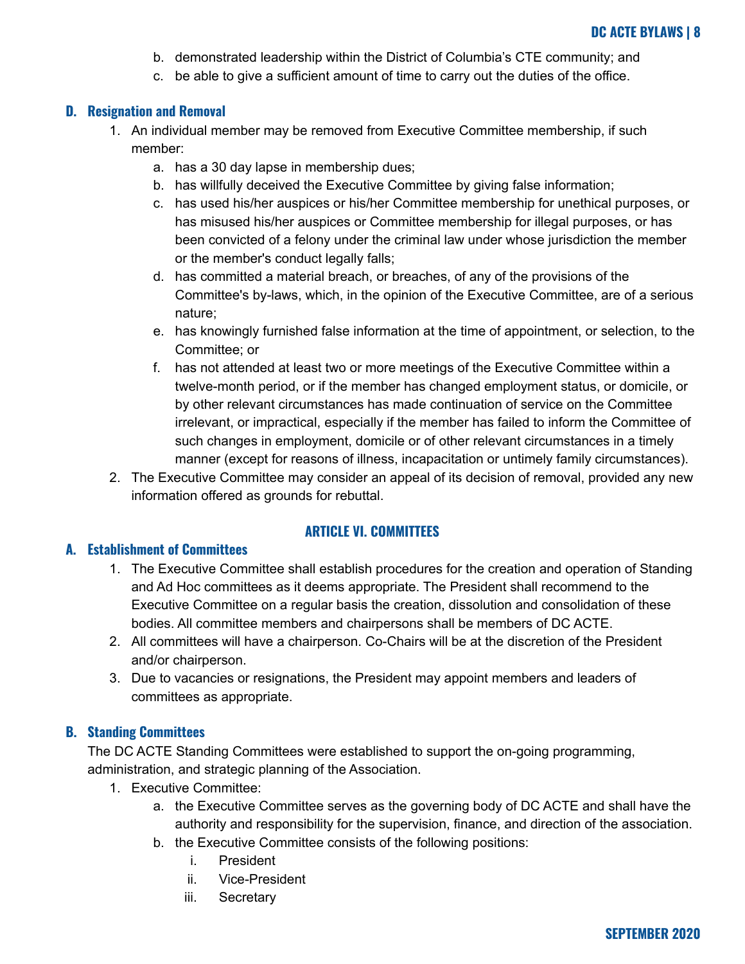- b. demonstrated leadership within the District of Columbia's CTE community; and
- c. be able to give a sufficient amount of time to carry out the duties of the office.

## <span id="page-7-0"></span>**D. Resignation and Removal**

- 1. An individual member may be removed from Executive Committee membership, if such member:
	- a. has a 30 day lapse in membership dues;
	- b. has willfully deceived the Executive Committee by giving false information;
	- c. has used his/her auspices or his/her Committee membership for unethical purposes, or has misused his/her auspices or Committee membership for illegal purposes, or has been convicted of a felony under the criminal law under whose jurisdiction the member or the member's conduct legally falls;
	- d. has committed a material breach, or breaches, of any of the provisions of the Committee's by-laws, which, in the opinion of the Executive Committee, are of a serious nature;
	- e. has knowingly furnished false information at the time of appointment, or selection, to the Committee; or
	- f. has not attended at least two or more meetings of the Executive Committee within a twelve-month period, or if the member has changed employment status, or domicile, or by other relevant circumstances has made continuation of service on the Committee irrelevant, or impractical, especially if the member has failed to inform the Committee of such changes in employment, domicile or of other relevant circumstances in a timely manner (except for reasons of illness, incapacitation or untimely family circumstances).
- 2. The Executive Committee may consider an appeal of its decision of removal, provided any new information offered as grounds for rebuttal.

## **ARTICLE VI. COMMITTEES**

## <span id="page-7-2"></span><span id="page-7-1"></span>**A. Establishment of Committees**

- 1. The Executive Committee shall establish procedures for the creation and operation of Standing and Ad Hoc committees as it deems appropriate. The President shall recommend to the Executive Committee on a regular basis the creation, dissolution and consolidation of these bodies. All committee members and chairpersons shall be members of DC ACTE.
- 2. All committees will have a chairperson. Co-Chairs will be at the discretion of the President and/or chairperson.
- 3. Due to vacancies or resignations, the President may appoint members and leaders of committees as appropriate.

## <span id="page-7-3"></span>**B. Standing Committees**

The DC ACTE Standing Committees were established to support the on-going programming, administration, and strategic planning of the Association.

- 1. Executive Committee:
	- a. the Executive Committee serves as the governing body of DC ACTE and shall have the authority and responsibility for the supervision, finance, and direction of the association.
	- b. the Executive Committee consists of the following positions:
		- i. President
		- ii. Vice-President
		- iii. Secretary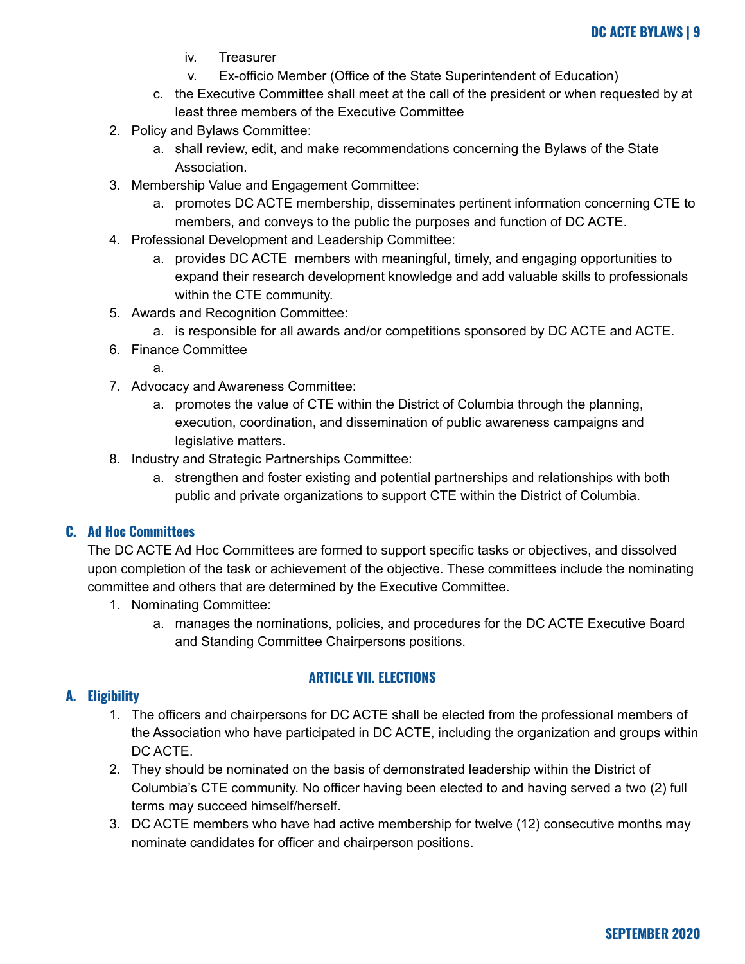- iv. Treasurer
- v. Ex-officio Member (Office of the State Superintendent of Education)
- c. the Executive Committee shall meet at the call of the president or when requested by at least three members of the Executive Committee
- 2. Policy and Bylaws Committee:
	- a. shall review, edit, and make recommendations concerning the Bylaws of the State Association.
- 3. Membership Value and Engagement Committee:
	- a. promotes DC ACTE membership, disseminates pertinent information concerning CTE to members, and conveys to the public the purposes and function of DC ACTE.
- 4. Professional Development and Leadership Committee:
	- a. provides DC ACTE members with meaningful, timely, and engaging opportunities to expand their research development knowledge and add valuable skills to professionals within the CTE community.
- 5. Awards and Recognition Committee:
	- a. is responsible for all awards and/or competitions sponsored by DC ACTE and ACTE.
- 6. Finance Committee
	- a.
- 7. Advocacy and Awareness Committee:
	- a. promotes the value of CTE within the District of Columbia through the planning, execution, coordination, and dissemination of public awareness campaigns and legislative matters.
- 8. Industry and Strategic Partnerships Committee:
	- a. strengthen and foster existing and potential partnerships and relationships with both public and private organizations to support CTE within the District of Columbia.

## <span id="page-8-0"></span>**C. Ad Hoc Committees**

The DC ACTE Ad Hoc Committees are formed to support specific tasks or objectives, and dissolved upon completion of the task or achievement of the objective. These committees include the nominating committee and others that are determined by the Executive Committee.

- 1. Nominating Committee:
	- a. manages the nominations, policies, and procedures for the DC ACTE Executive Board and Standing Committee Chairpersons positions.

## **ARTICLE VII. ELECTIONS**

## <span id="page-8-2"></span><span id="page-8-1"></span>**A. Eligibility**

- 1. The officers and chairpersons for DC ACTE shall be elected from the professional members of the Association who have participated in DC ACTE, including the organization and groups within DC ACTE.
- 2. They should be nominated on the basis of demonstrated leadership within the District of Columbia's CTE community. No officer having been elected to and having served a two (2) full terms may succeed himself/herself.
- 3. DC ACTE members who have had active membership for twelve (12) consecutive months may nominate candidates for officer and chairperson positions.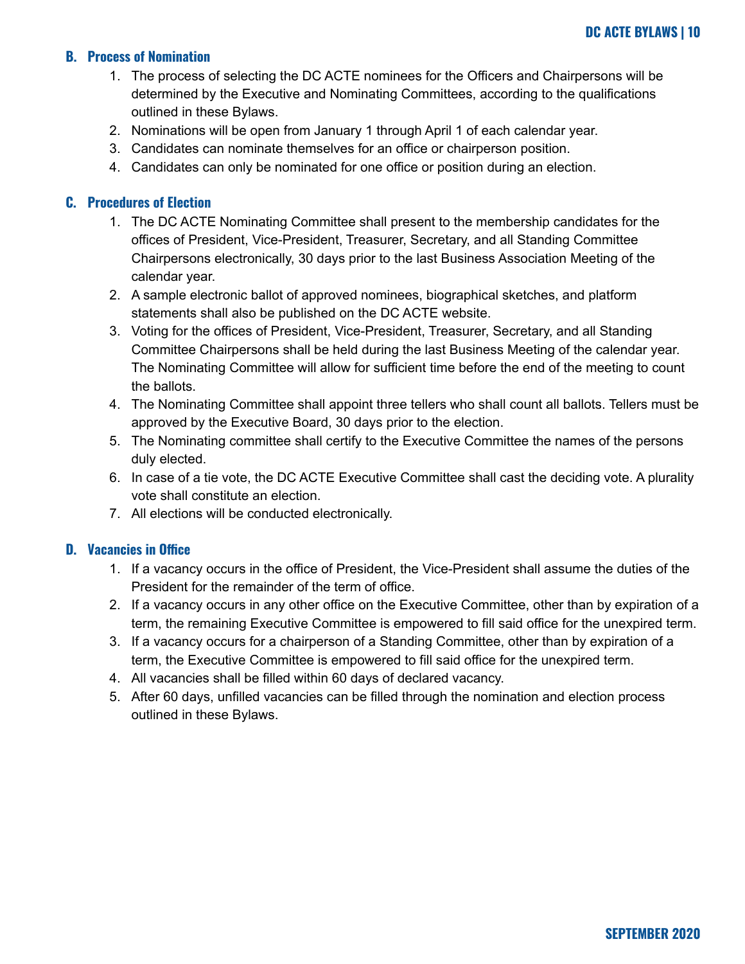## <span id="page-9-0"></span>**B. Process of Nomination**

- 1. The process of selecting the DC ACTE nominees for the Officers and Chairpersons will be determined by the Executive and Nominating Committees, according to the qualifications outlined in these Bylaws.
- 2. Nominations will be open from January 1 through April 1 of each calendar year.
- 3. Candidates can nominate themselves for an office or chairperson position.
- 4. Candidates can only be nominated for one office or position during an election.

## <span id="page-9-1"></span>**C. Procedures of Election**

- 1. The DC ACTE Nominating Committee shall present to the membership candidates for the offices of President, Vice-President, Treasurer, Secretary, and all Standing Committee Chairpersons electronically, 30 days prior to the last Business Association Meeting of the calendar year.
- 2. A sample electronic ballot of approved nominees, biographical sketches, and platform statements shall also be published on the DC ACTE website.
- 3. Voting for the offices of President, Vice-President, Treasurer, Secretary, and all Standing Committee Chairpersons shall be held during the last Business Meeting of the calendar year. The Nominating Committee will allow for sufficient time before the end of the meeting to count the ballots.
- 4. The Nominating Committee shall appoint three tellers who shall count all ballots. Tellers must be approved by the Executive Board, 30 days prior to the election.
- 5. The Nominating committee shall certify to the Executive Committee the names of the persons duly elected.
- 6. In case of a tie vote, the DC ACTE Executive Committee shall cast the deciding vote. A plurality vote shall constitute an election.
- 7. All elections will be conducted electronically.

## <span id="page-9-2"></span>**D. Vacancies in Office**

- 1. If a vacancy occurs in the office of President, the Vice-President shall assume the duties of the President for the remainder of the term of office.
- 2. If a vacancy occurs in any other office on the Executive Committee, other than by expiration of a term, the remaining Executive Committee is empowered to fill said office for the unexpired term.
- 3. If a vacancy occurs for a chairperson of a Standing Committee, other than by expiration of a term, the Executive Committee is empowered to fill said office for the unexpired term.
- 4. All vacancies shall be filled within 60 days of declared vacancy.
- 5. After 60 days, unfilled vacancies can be filled through the nomination and election process outlined in these Bylaws.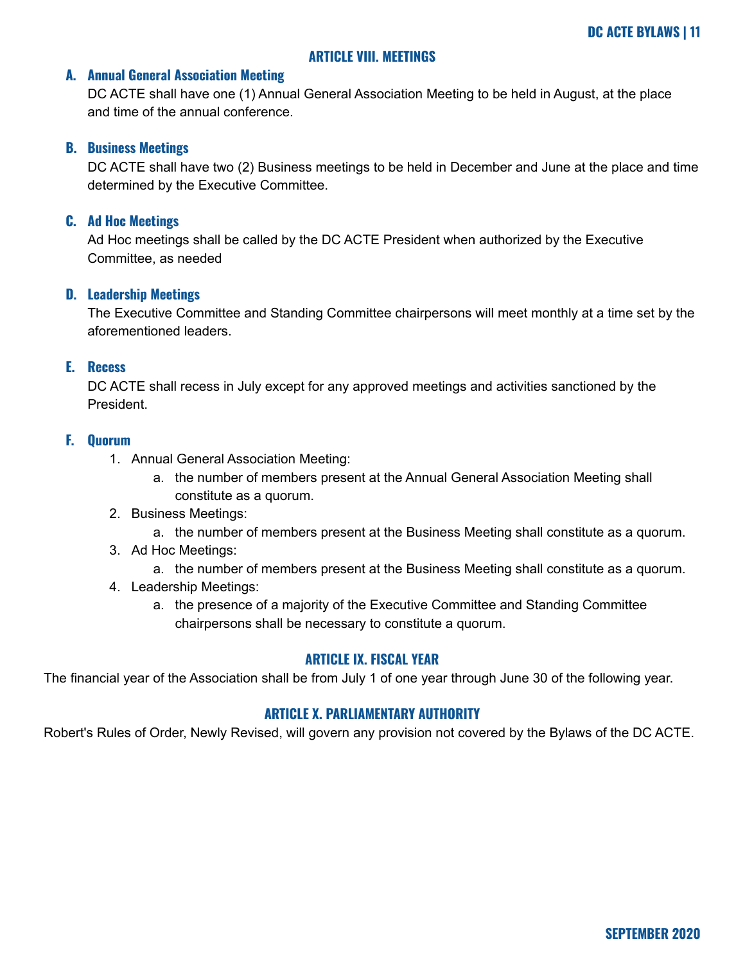## **ARTICLE VIII. MEETINGS**

#### <span id="page-10-1"></span><span id="page-10-0"></span>**A. Annual General Association Meeting**

DC ACTE shall have one (1) Annual General Association Meeting to be held in August, at the place and time of the annual conference.

#### <span id="page-10-2"></span>**B. Business Meetings**

DC ACTE shall have two (2) Business meetings to be held in December and June at the place and time determined by the Executive Committee.

#### <span id="page-10-3"></span>**C. Ad Hoc Meetings**

Ad Hoc meetings shall be called by the DC ACTE President when authorized by the Executive Committee, as needed

#### <span id="page-10-4"></span>**D. Leadership Meetings**

The Executive Committee and Standing Committee chairpersons will meet monthly at a time set by the aforementioned leaders.

## <span id="page-10-5"></span>**E. Recess**

DC ACTE shall recess in July except for any approved meetings and activities sanctioned by the President.

## <span id="page-10-6"></span>**F. Quorum**

- 1. Annual General Association Meeting:
	- a. the number of members present at the Annual General Association Meeting shall constitute as a quorum.
- 2. Business Meetings:
	- a. the number of members present at the Business Meeting shall constitute as a quorum.
- 3. Ad Hoc Meetings:
	- a. the number of members present at the Business Meeting shall constitute as a quorum.
- 4. Leadership Meetings:
	- a. the presence of a majority of the Executive Committee and Standing Committee chairpersons shall be necessary to constitute a quorum.

#### **ARTICLE IX. FISCAL YEAR**

<span id="page-10-7"></span>The financial year of the Association shall be from July 1 of one year through June 30 of the following year.

#### **ARTICLE X. PARLIAMENTARY AUTHORITY**

<span id="page-10-8"></span>Robert's Rules of Order, Newly Revised, will govern any provision not covered by the Bylaws of the DC ACTE.